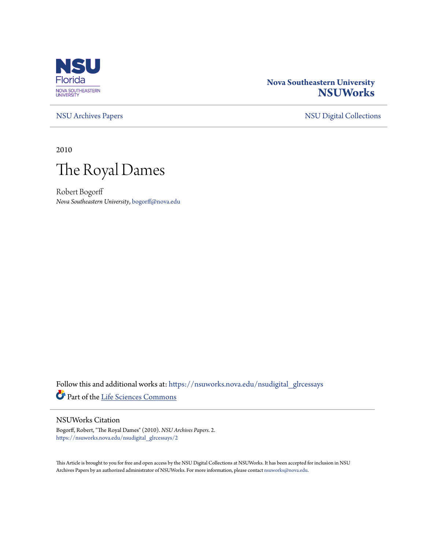

## **Nova Southeastern University [NSUWorks](https://nsuworks.nova.edu?utm_source=nsuworks.nova.edu%2Fnsudigital_glrcessays%2F2&utm_medium=PDF&utm_campaign=PDFCoverPages)**

[NSU Archives Papers](https://nsuworks.nova.edu/nsudigital_glrcessays?utm_source=nsuworks.nova.edu%2Fnsudigital_glrcessays%2F2&utm_medium=PDF&utm_campaign=PDFCoverPages) [NSU Digital Collections](https://nsuworks.nova.edu/nsudigital?utm_source=nsuworks.nova.edu%2Fnsudigital_glrcessays%2F2&utm_medium=PDF&utm_campaign=PDFCoverPages)

2010



Robert Bogorff *Nova Southeastern University*, bogorff@nova.edu

Follow this and additional works at: [https://nsuworks.nova.edu/nsudigital\\_glrcessays](https://nsuworks.nova.edu/nsudigital_glrcessays?utm_source=nsuworks.nova.edu%2Fnsudigital_glrcessays%2F2&utm_medium=PDF&utm_campaign=PDFCoverPages) Part of the [Life Sciences Commons](http://network.bepress.com/hgg/discipline/1016?utm_source=nsuworks.nova.edu%2Fnsudigital_glrcessays%2F2&utm_medium=PDF&utm_campaign=PDFCoverPages)

## NSUWorks Citation

Bogorff, Robert, "The Royal Dames" (2010). *NSU Archives Papers*. 2. [https://nsuworks.nova.edu/nsudigital\\_glrcessays/2](https://nsuworks.nova.edu/nsudigital_glrcessays/2?utm_source=nsuworks.nova.edu%2Fnsudigital_glrcessays%2F2&utm_medium=PDF&utm_campaign=PDFCoverPages)

This Article is brought to you for free and open access by the NSU Digital Collections at NSUWorks. It has been accepted for inclusion in NSU Archives Papers by an authorized administrator of NSUWorks. For more information, please contact [nsuworks@nova.edu](mailto:nsuworks@nova.edu).